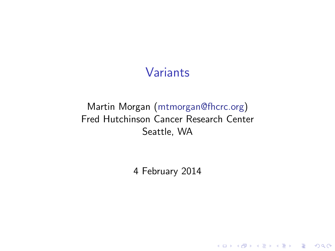#### Variants

#### Martin Morgan [\(mtmorgan@fhcrc.org\)](mailto:mtmorgan@fhcrc.org) Fred Hutchinson Cancer Research Center Seattle, WA

4 February 2014

**Kロトメ部トメミトメミト ミニのRC**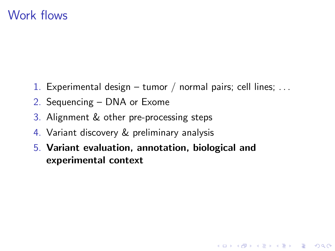#### Work flows

1. Experimental design – tumor / normal pairs; cell lines; ...

**KOD KAD KED KED DRA** 

- 2. Sequencing DNA or Exome
- 3. Alignment & other pre-processing steps
- 4. Variant discovery & preliminary analysis
- 5. Variant evaluation, annotation, biological and experimental context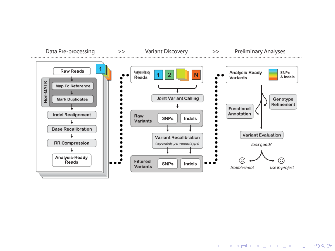

K ロ ▶ K 個 ▶ K 할 ▶ K 할 ▶ 이 할 → 9 Q Q →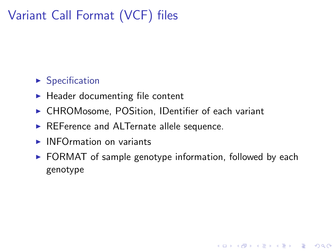# Variant Call Format (VCF) files

#### $\blacktriangleright$  [Specification](https://github.com/samtools/hts-specs)

- $\blacktriangleright$  Header documenting file content
- ▶ CHROMosome, POSition, IDentifier of each variant
- $\triangleright$  REFerence and ALTernate allele sequence.
- $\blacktriangleright$  INFOrmation on variants
- $\triangleright$  FORMAT of sample genotype information, followed by each genotype

K ロ ▶ K 個 ▶ K 할 ▶ K 할 ▶ 이 할 → 9 Q Q →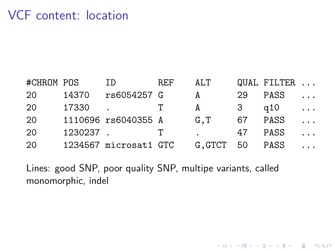### VCF content: location

| #CHROM POS |          | ID                    | REF          | ALT            |    | QUAL FILTER |          |
|------------|----------|-----------------------|--------------|----------------|----|-------------|----------|
| 20         | 14370    | rs6054257 G           |              | A              | 29 | PASS        | $\cdots$ |
| 20         | 17330    |                       | $\mathbf{T}$ | A              | 3  | q10         | $\cdots$ |
| 20         |          | 1110696 rs6040355 A   |              | G.T            | 67 | PASS        | $\cdots$ |
| 20         | 1230237. |                       | T            |                | 47 | PASS        | $\cdots$ |
| 20         |          | 1234567 microsat1 GTC |              | G.GTCT 50 PASS |    |             | $\cdots$ |

KO K K Ø K K E K K E K V K K K K K K K K K K

Lines: good SNP, poor quality SNP, multipe variants, called monomorphic, indel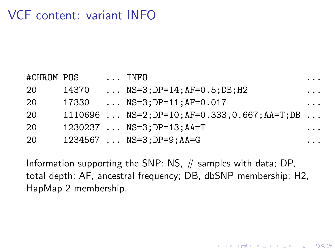# VCF content: variant INFO

| #CHROM POS |       | INFO                                                           | $\cdots$ |
|------------|-------|----------------------------------------------------------------|----------|
| 20         | 14370 | $\ldots$ NS=3;DP=14;AF=0.5;DB;H2                               | $\cdots$ |
| 20         | 17330 | $\ldots$ NS=3:DP=11:AF=0.017                                   | .        |
| 20         |       | $1110696$ $NS=2$ ; $DP=10$ ; $AF=0.333, 0.667$ ; $AA=T$ ; $DB$ |          |
| 20         |       | $1230237$ $NS=3:DP=13;AA=T$                                    | .        |
| 20         |       | $1234567$ $NS=3$ ; $DP=9$ ; $AA=G$                             | .        |

Information supporting the SNP: NS,  $#$  samples with data; DP, total depth; AF, ancestral frequency; DB, dbSNP membership; H2, HapMap 2 membership.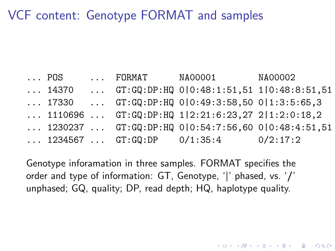#### VCF content: Genotype FORMAT and samples

... POS ... FORMAT NA00001 NA00002  $\ldots$  14370  $\ldots$  GT:GQ:DP:HQ 0|0:48:1:51,51 1|0:48:8:51,51  $\ldots$  17330  $\ldots$  GT:GQ:DP:HQ 0|0:49:3:58,50 0|1:3:5:65,3  $\ldots$  1110696  $\ldots$  GT:GQ:DP:HQ 1|2:21:6:23,27 2|1:2:0:18,2  $\ldots$  1230237  $\ldots$  GT:GQ:DP:HQ 0|0:54:7:56,60 0|0:48:4:51,51  $\ldots$  1234567  $\ldots$  GT:GQ:DP 0/1:35:4 0/2:17:2

Genotype inforamation in three samples. FORMAT specifies the order and type of information: GT, Genotype, '|' phased, vs. '/' unphased; GQ, quality; DP, read depth; HQ, haplotype quality.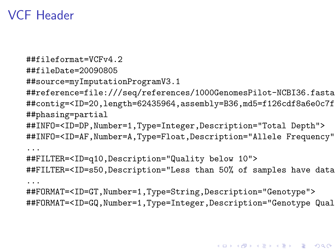## VCF Header

```
##fileformat=VCFv4.2
##fileDate=20090805
##source=myImputationProgramV3.1
##reference=file:///seq/references/1000GenomesPilot-NCBI36.fasta
##contig=<ID=20,length=62435964,assembly=B36,md5=f126cdf8a6e0c7f
##phasing=partial
##INFO=<ID=DP,Number=1,Type=Integer,Description="Total Depth">
##INFO=<ID=AF,Number=A,Type=Float,Description="Allele Frequency">
...
##FILTER=<ID=q10,Description="Quality below 10">
##FILTER=<ID=s50, Description="Less than 50% of samples have data
...
##FORMAT=<ID=GT,Number=1,Type=String,Description="Genotype">
##FORMAT=<ID=GQ,Number=1,Type=Integer,Description="Genotype Qual
```